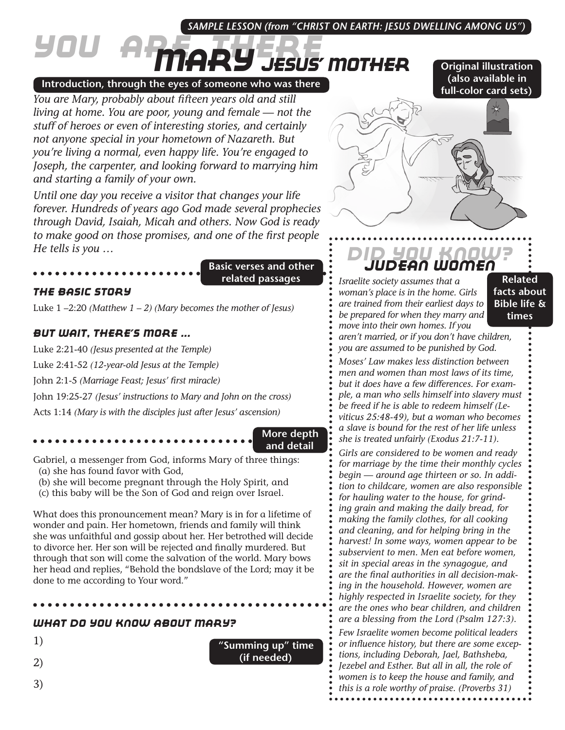## *SAMPLE LESSON (from "CHRIST ON EARTH: JESUS DWELLING AMONG US")*

# *You Are There Mary Jesus' Mother*

#### **Introduction, through the eyes of someone who was there**

*You are Mary, probably about fifteen years old and still living at home. You are poor, young and female — not the stuff of heroes or even of interesting stories, and certainly not anyone special in your hometown of Nazareth. But you're living a normal, even happy life. You're engaged to Joseph, the carpenter, and looking forward to marrying him and starting a family of your own.*

*Until one day you receive a visitor that changes your life forever. Hundreds of years ago God made several prophecies through David, Isaiah, Micah and others. Now God is ready to make good on those promises, and one of the first people He tells is you …*

**Basic verses and other related passages**

#### *The Basic Story*

Luke 1 –2:20 *(Matthew 1 – 2) (Mary becomes the mother of Jesus)*

## *But Wait, There's More ...*

Luke 2:21-40 *(Jesus presented at the Temple)*

Luke 2:41-52 *(12-year-old Jesus at the Temple)*

John 2:1-5 *(Marriage Feast; Jesus' first miracle)*

John 19:25-27 *(Jesus' instructions to Mary and John on the cross)*

Acts 1:14 *(Mary is with the disciples just after Jesus' ascension)*

#### **More depth and detail**

Gabriel, a messenger from God, informs Mary of three things:

- (a) she has found favor with God,
- (b) she will become pregnant through the Holy Spirit, and
- (c) this baby will be the Son of God and reign over Israel.

What does this pronouncement mean? Mary is in for a lifetime of wonder and pain. Her hometown, friends and family will think she was unfaithful and gossip about her. Her betrothed will decide to divorce her. Her son will be rejected and finally murdered. But through that son will come the salvation of the world. Mary bows her head and replies, "Behold the bondslave of the Lord; may it be done to me according to Your word."

#### *What Do You Know About Mary?*

1)

2)

3)

**"Summing up" time (if needed)**

# *Did You Know? Judean Women*

*Israelite society assumes that a woman's place is in the home. Girls are trained from their earliest days to be prepared for when they marry and move into their own homes. If you* 

**Related facts about Bible life & times**

*aren't married, or if you don't have children, you are assumed to be punished by God.*

*Moses' Law makes less distinction between men and women than most laws of its time, but it does have a few differences. For example, a man who sells himself into slavery must be freed if he is able to redeem himself (Leviticus 25:48-49), but a woman who becomes a slave is bound for the rest of her life unless she is treated unfairly (Exodus 21:7-11).* 

*Girls are considered to be women and ready for marriage by the time their monthly cycles begin — around age thirteen or so. In addition to childcare, women are also responsible for hauling water to the house, for grinding grain and making the daily bread, for making the family clothes, for all cooking and cleaning, and for helping bring in the harvest! In some ways, women appear to be subservient to men. Men eat before women, sit in special areas in the synagogue, and are the final authorities in all decision-making in the household. However, women are highly respected in Israelite society, for they are the ones who bear children, and children are a blessing from the Lord (Psalm 127:3).*

*Few Israelite women become political leaders or influence history, but there are some exceptions, including Deborah, Jael, Bathsheba, Jezebel and Esther. But all in all, the role of women is to keep the house and family, and this is a role worthy of praise. (Proverbs 31)*



**Original illustration (also available in**